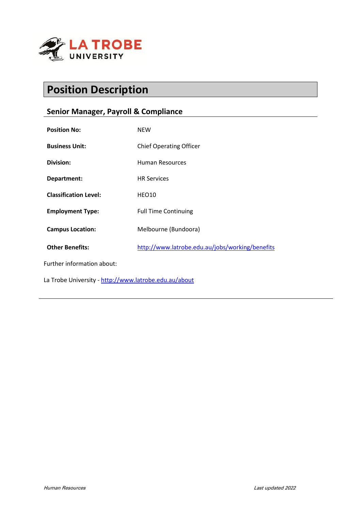

# **Position Description**

# **Senior Manager, Payroll & Compliance**

| <b>Position No:</b>                                   | <b>NEW</b>                                      |
|-------------------------------------------------------|-------------------------------------------------|
| <b>Business Unit:</b>                                 | <b>Chief Operating Officer</b>                  |
| Division:                                             | Human Resources                                 |
| Department:                                           | <b>HR Services</b>                              |
| <b>Classification Level:</b>                          | HEO10                                           |
| <b>Employment Type:</b>                               | <b>Full Time Continuing</b>                     |
| <b>Campus Location:</b>                               | Melbourne (Bundoora)                            |
| <b>Other Benefits:</b>                                | http://www.latrobe.edu.au/jobs/working/benefits |
| Further information about:                            |                                                 |
| La Trobe University - http://www.latrobe.edu.au/about |                                                 |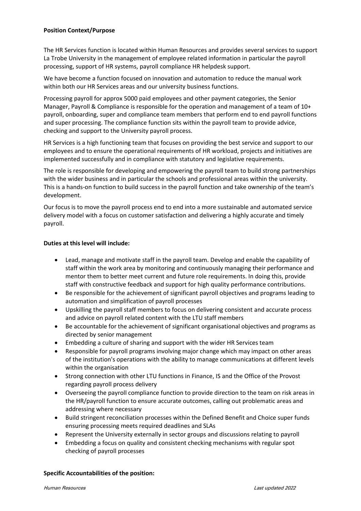### **Position Context/Purpose**

The HR Services function is located within Human Resources and provides several services to support La Trobe University in the management of employee related information in particular the payroll processing, support of HR systems, payroll compliance HR helpdesk support.

We have become a function focused on innovation and automation to reduce the manual work within both our HR Services areas and our university business functions.

Processing payroll for approx 5000 paid employees and other payment categories, the Senior Manager, Payroll & Compliance is responsible for the operation and management of a team of 10+ payroll, onboarding, super and compliance team members that perform end to end payroll functions and super processing. The compliance function sits within the payroll team to provide advice, checking and support to the University payroll process.

HR Services is a high functioning team that focuses on providing the best service and support to our employees and to ensure the operational requirements of HR workload, projects and initiatives are implemented successfully and in compliance with statutory and legislative requirements.

The role is responsible for developing and empowering the payroll team to build strong partnerships with the wider business and in particular the schools and professional areas within the university. This is a hands-on function to build success in the payroll function and take ownership of the team's development.

Our focus is to move the payroll process end to end into a more sustainable and automated service delivery model with a focus on customer satisfaction and delivering a highly accurate and timely payroll.

# **Duties at this level will include:**

- Lead, manage and motivate staff in the payroll team. Develop and enable the capability of staff within the work area by monitoring and continuously managing their performance and mentor them to better meet current and future role requirements. In doing this, provide staff with constructive feedback and support for high quality performance contributions.
- Be responsible for the achievement of significant payroll objectives and programs leading to automation and simplification of payroll processes
- Upskilling the payroll staff members to focus on delivering consistent and accurate process and advice on payroll related content with the LTU staff members
- Be accountable for the achievement of significant organisational objectives and programs as directed by senior management
- Embedding a culture of sharing and support with the wider HR Services team
- Responsible for payroll programs involving major change which may impact on other areas of the institution's operations with the ability to manage communications at different levels within the organisation
- Strong connection with other LTU functions in Finance, IS and the Office of the Provost regarding payroll process delivery
- Overseeing the payroll compliance function to provide direction to the team on risk areas in the HR/payroll function to ensure accurate outcomes, calling out problematic areas and addressing where necessary
- Build stringent reconciliation processes within the Defined Benefit and Choice super funds ensuring processing meets required deadlines and SLAs
- Represent the University externally in sector groups and discussions relating to payroll
- Embedding a focus on quality and consistent checking mechanisms with regular spot checking of payroll processes

### **Specific Accountabilities of the position:**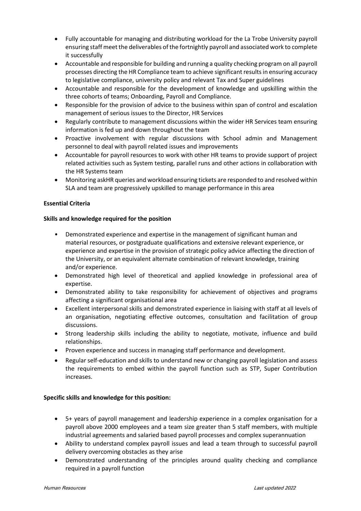- Fully accountable for managing and distributing workload for the La Trobe University payroll ensuring staff meet the deliverables of the fortnightly payroll and associated work to complete it successfully
- Accountable and responsible for building and running a quality checking program on all payroll processes directing the HR Compliance team to achieve significant results in ensuring accuracy to legislative compliance, university policy and relevant Tax and Super guidelines
- Accountable and responsible for the development of knowledge and upskilling within the three cohorts of teams; Onboarding, Payroll and Compliance.
- Responsible for the provision of advice to the business within span of control and escalation management of serious issues to the Director, HR Services
- Regularly contribute to management discussions within the wider HR Services team ensuring information is fed up and down throughout the team
- Proactive involvement with regular discussions with School admin and Management personnel to deal with payroll related issues and improvements
- Accountable for payroll resources to work with other HR teams to provide support of project related activities such as System testing, parallel runs and other actions in collaboration with the HR Systems team
- Monitoring askHR queries and workload ensuring tickets are responded to and resolved within SLA and team are progressively upskilled to manage performance in this area

# **Essential Criteria**

### **Skills and knowledge required for the position**

- Demonstrated experience and expertise in the management of significant human and material resources, or postgraduate qualifications and extensive relevant experience, or experience and expertise in the provision of strategic policy advice affecting the direction of the University, or an equivalent alternate combination of relevant knowledge, training and/or experience.
- Demonstrated high level of theoretical and applied knowledge in professional area of expertise.
- Demonstrated ability to take responsibility for achievement of objectives and programs affecting a significant organisational area
- Excellent interpersonal skills and demonstrated experience in liaising with staff at all levels of an organisation, negotiating effective outcomes, consultation and facilitation of group discussions.
- Strong leadership skills including the ability to negotiate, motivate, influence and build relationships.
- Proven experience and success in managing staff performance and development.
- Regular self-education and skills to understand new or changing payroll legislation and assess the requirements to embed within the payroll function such as STP, Super Contribution increases.

### **Specific skills and knowledge for this position:**

- 5+ years of payroll management and leadership experience in a complex organisation for a payroll above 2000 employees and a team size greater than 5 staff members, with multiple industrial agreements and salaried based payroll processes and complex superannuation
- Ability to understand complex payroll issues and lead a team through to successful payroll delivery overcoming obstacles as they arise
- Demonstrated understanding of the principles around quality checking and compliance required in a payroll function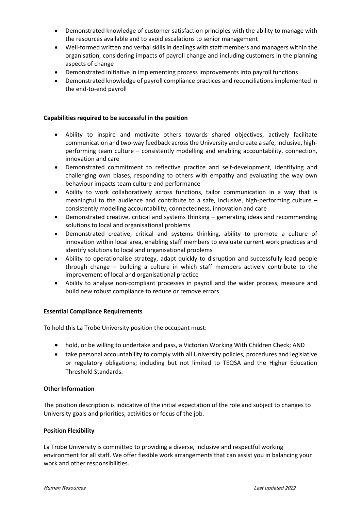- Demonstrated knowledge of customer satisfaction principles with the ability to manage with the resources available and to avoid escalations to senior management
- Well-formed written and verbal skills in dealings with staff members and managers within the organisation, considering impacts of payroll change and including customers in the planning aspects of change
- Demonstrated initiative in implementing process improvements into payroll functions
- Demonstrated knowledge of payroll compliance practices and reconciliations implemented in the end-to-end payroll

#### **Capabilities required to be successful in the position**

- Ability to inspire and motivate others towards shared objectives, actively facilitate communication and two-way feedback across the University and create a safe, inclusive, highperforming team culture – consistently modelling and enabling accountability, connection, innovation and care
- Demonstrated commitment to reflective practice and self-development, identifying and challenging own biases, responding to others with empathy and evaluating the way own behaviour impacts team culture and performance
- Ability to work collaboratively across functions, tailor communication in a way that is meaningful to the audience and contribute to a safe, inclusive, high-performing culture – consistently modelling accountability, connectedness, innovation and care
- Demonstrated creative, critical and systems thinking generating ideas and recommending solutions to local and organisational problems
- Demonstrated creative, critical and systems thinking, ability to promote a culture of innovation within local area, enabling staff members to evaluate current work practices and identify solutions to local and organisational problems
- Ability to operationalise strategy, adapt quickly to disruption and successfully lead people through change – building a culture in which staff members actively contribute to the improvement of local and organisational practice
- Ability to analyse non-compliant processes in payroll and the wider process, measure and build new robust compliance to reduce or remove errors

#### **Essential Compliance Requirements**

To hold this La Trobe University position the occupant must:

- hold, or be willing to undertake and pass, a Victorian Working With Children Check; AND
- take personal accountability to comply with all University policies, procedures and legislative or regulatory obligations; including but not limited to TEQSA and the Higher Education Threshold Standards.

### **Other Information**

The position description is indicative of the initial expectation of the role and subject to changes to University goals and priorities, activities or focus of the job.

### **Position Flexibility**

La Trobe University is committed to providing a diverse, inclusive and respectful working environment for all staff. We offer flexible work arrangements that can assist you in balancing your work and other responsibilities.